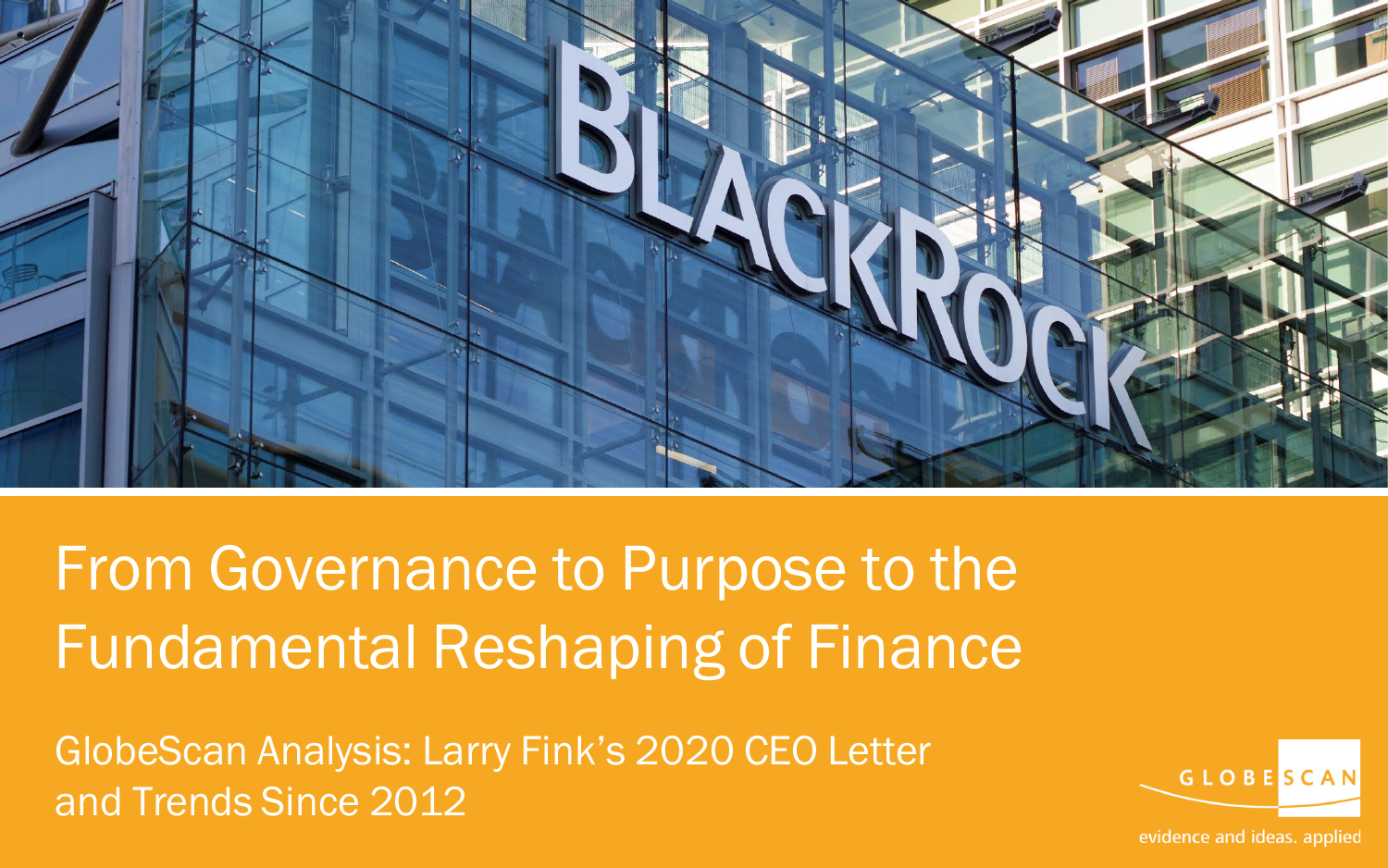

From Governance to Purpose to the Fundamental Reshaping of Finance

GlobeScan Analysis: Larry Fink's 2020 CEO Letter and Trends Since 2012



evidence and ideas. applied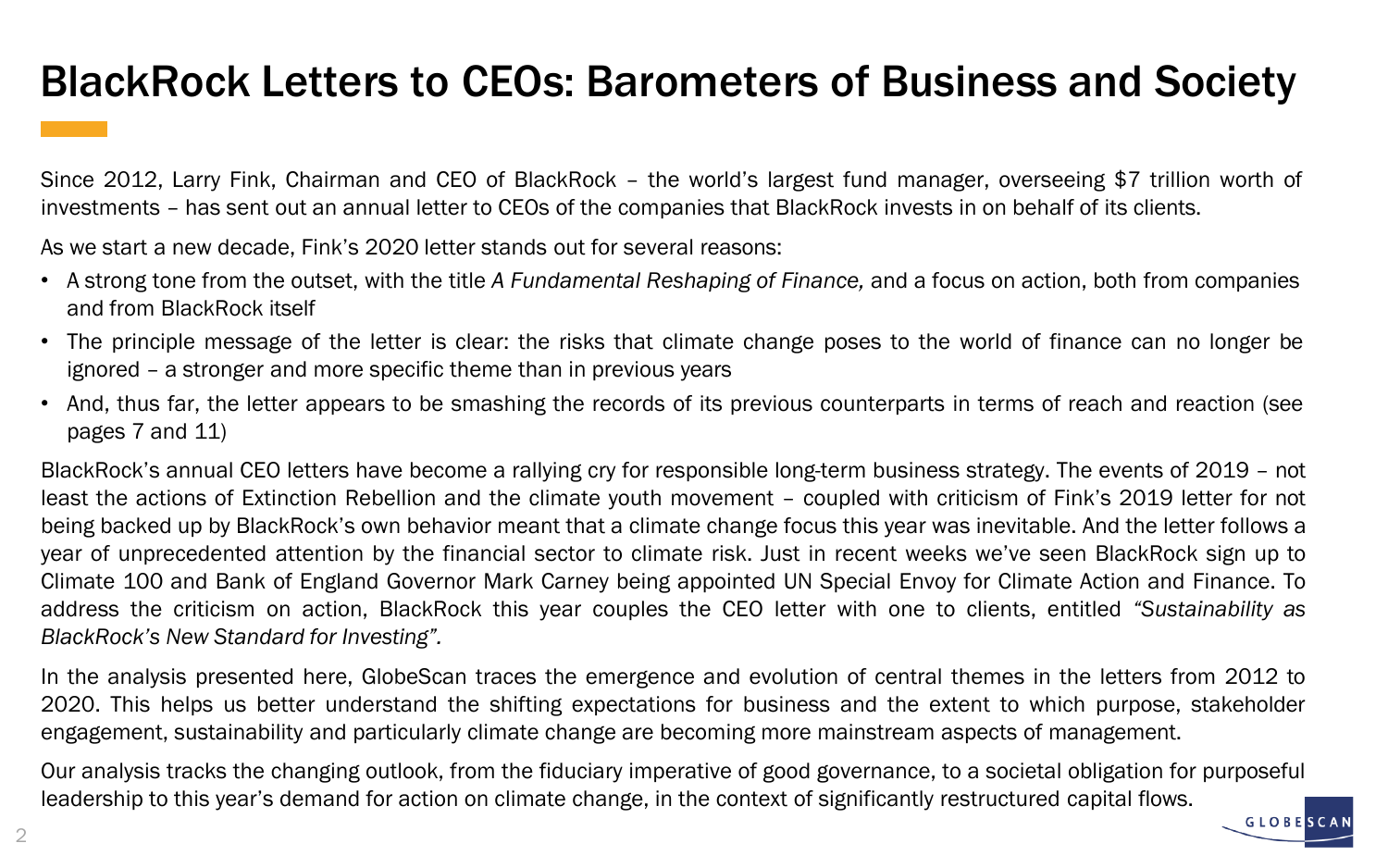## BlackRock Letters to CEOs: Barometers of Business and Society

Since 2012, Larry Fink, Chairman and CEO of BlackRock – the world's largest fund manager, overseeing \$7 trillion worth of investments – has sent out an annual letter to CEOs of the companies that BlackRock invests in on behalf of its clients.

As we start a new decade, Fink's 2020 letter stands out for several reasons:

- A strong tone from the outset, with the title *A Fundamental Reshaping of Finance,* and a focus on action, both from companies and from BlackRock itself
- The principle message of the letter is clear: the risks that climate change poses to the world of finance can no longer be ignored – a stronger and more specific theme than in previous years
- And, thus far, the letter appears to be smashing the records of its previous counterparts in terms of reach and reaction (see pages 7 and 11)

BlackRock's annual CEO letters have become a rallying cry for responsible long-term business strategy. The events of 2019 – not least the actions of Extinction Rebellion and the climate youth movement – coupled with criticism of Fink's 2019 letter for not being backed up by BlackRock's own behavior meant that a climate change focus this year was inevitable. And the letter follows a year of unprecedented attention by the financial sector to climate risk. Just in recent weeks we've seen BlackRock sign up to Climate 100 and Bank of England Governor Mark Carney being appointed UN Special Envoy for Climate Action and Finance. To address the criticism on action, BlackRock this year couples the CEO letter with one to clients, entitled *"Sustainability as BlackRock's New Standard for Investing".*

In the analysis presented here, GlobeScan traces the emergence and evolution of central themes in the letters from 2012 to 2020. This helps us better understand the shifting expectations for business and the extent to which purpose, stakeholder engagement, sustainability and particularly climate change are becoming more mainstream aspects of management.

Our analysis tracks the changing outlook, from the fiduciary imperative of good governance, to a societal obligation for purposeful leadership to this year's demand for action on climate change, in the context of significantly restructured capital flows.

**GLOBES**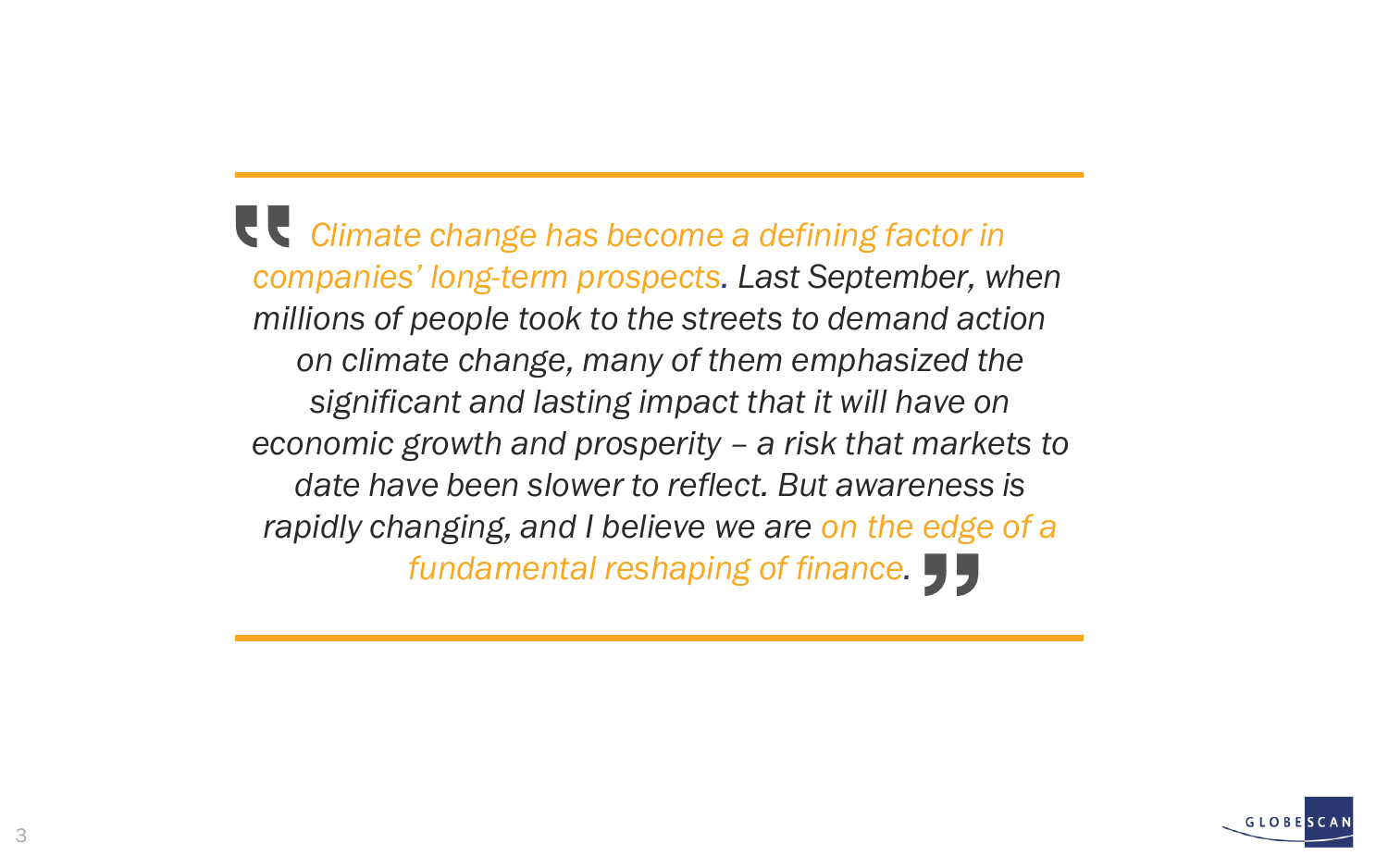*Climate change has become a defining factor in companies' long-term prospects. Last September, when millions of people took to the streets to demand action on climate change, many of them emphasized the significant and lasting impact that it will have on economic growth and prosperity – a risk that markets to date have been slower to reflect. But awareness is rapidly changing, and I believe we are on the edge of a fundamental reshaping of finance.*

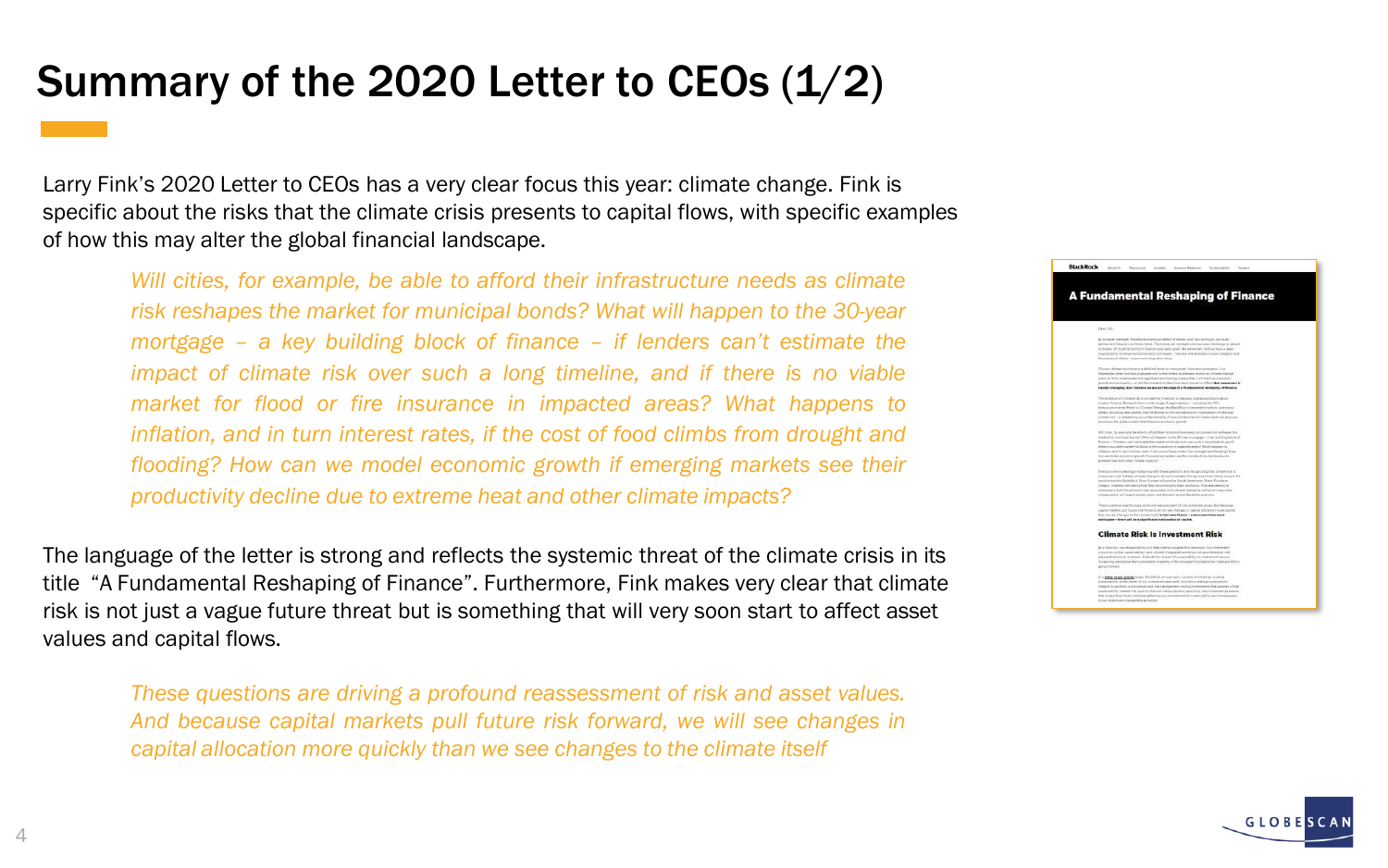## Summary of the 2020 Letter to CEOs  $(1/2)$

Larry Fink's 2020 Letter to CEOs has a very clear focus this year: climate change. Fink is specific about the risks that the climate crisis presents to capital flows, with specific examples of how this may alter the global financial landscape.

*Will cities, for example, be able to afford their infrastructure needs as climate risk reshapes the market for municipal bonds? What will happen to the 30-year mortgage – a key building block of finance – if lenders can't estimate the impact of climate risk over such a long timeline, and if there is no viable market for flood or fire insurance in impacted areas? What happens to inflation, and in turn interest rates, if the cost of food climbs from drought and flooding? How can we model economic growth if emerging markets see their productivity decline due to extreme heat and other climate impacts?*

The language of the letter is strong and reflects the systemic threat of the climate crisis in its title "A Fundamental Reshaping of Finance". Furthermore, Fink makes very clear that climate risk is not just a vague future threat but is something that will very soon start to affect asset values and capital flows.

*These questions are driving a profound reassessment of risk and asset values. And because capital markets pull future risk forward, we will see changes in capital allocation more quickly than we see changes to the climate itself*



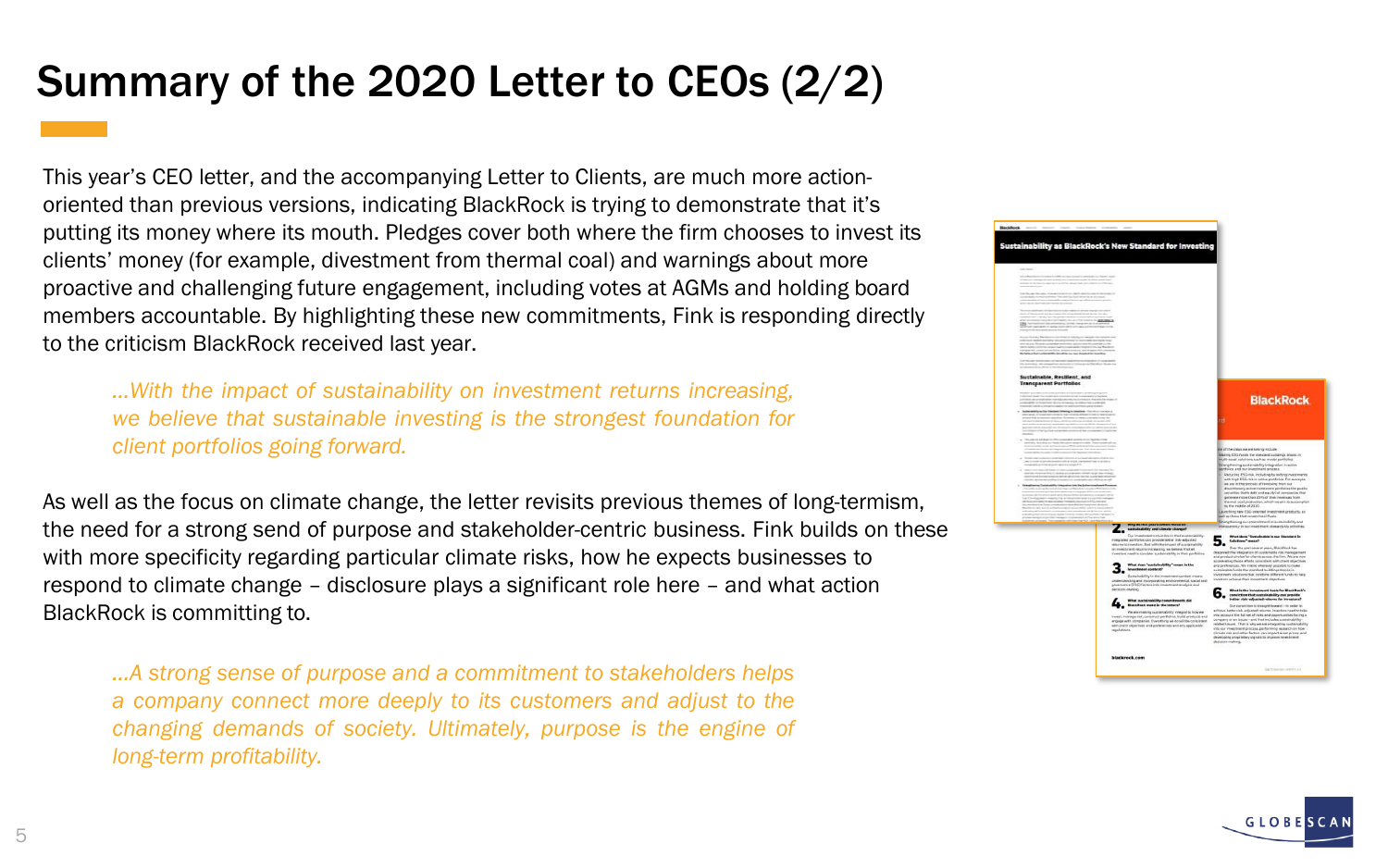# Summary of the 2020 Letter to CEOs (2/2)

This year's CEO letter, and the accompanying Letter to Clients, are much more actionoriented than previous versions, indicating BlackRock is trying to demonstrate that it's putting its money where its mouth. Pledges cover both where the firm chooses to invest its clients' money (for example, divestment from thermal coal) and warnings about more proactive and challenging future engagement, including votes at AGMs and holding board members accountable. By highlighting these new commitments, Fink is responding directly to the criticism BlackRock received last year.

*…With the impact of sustainability on investment returns increasing, we believe that sustainable investing is the strongest foundation for client portfolios going forward.*

As well as the focus on climate change, the letter revisits previous themes of long-termism, the need for a strong send of purpose and stakeholder-centric business. Fink builds on these with more specificity regarding particular climate risks, how he expects businesses to respond to climate change – disclosure plays a significant role here – and what action BlackRock is committing to.

*…A strong sense of purpose and a commitment to stakeholders helps a company connect more deeply to its customers and adjust to the changing demands of society. Ultimately, purpose is the engine of long-term profitability.*



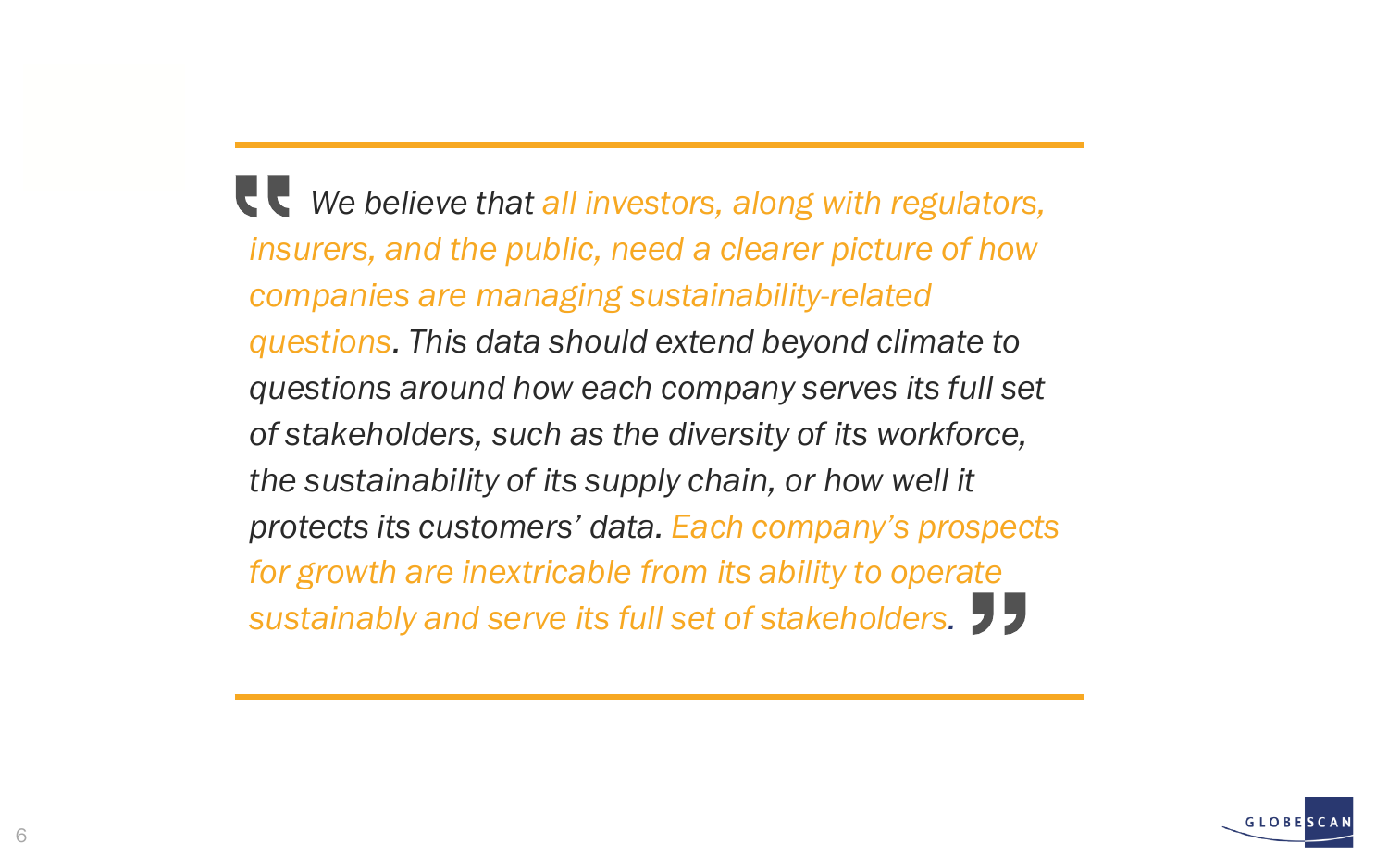*We believe that all investors, along with regulators, insurers, and the public, need a clearer picture of how companies are managing sustainability-related questions. This data should extend beyond climate to questions around how each company serves its full set of stakeholders, such as the diversity of its workforce, the sustainability of its supply chain, or how well it protects its customers' data. Each company's prospects for growth are inextricable from its ability to operate sustainably and serve its full set of stakeholders.*

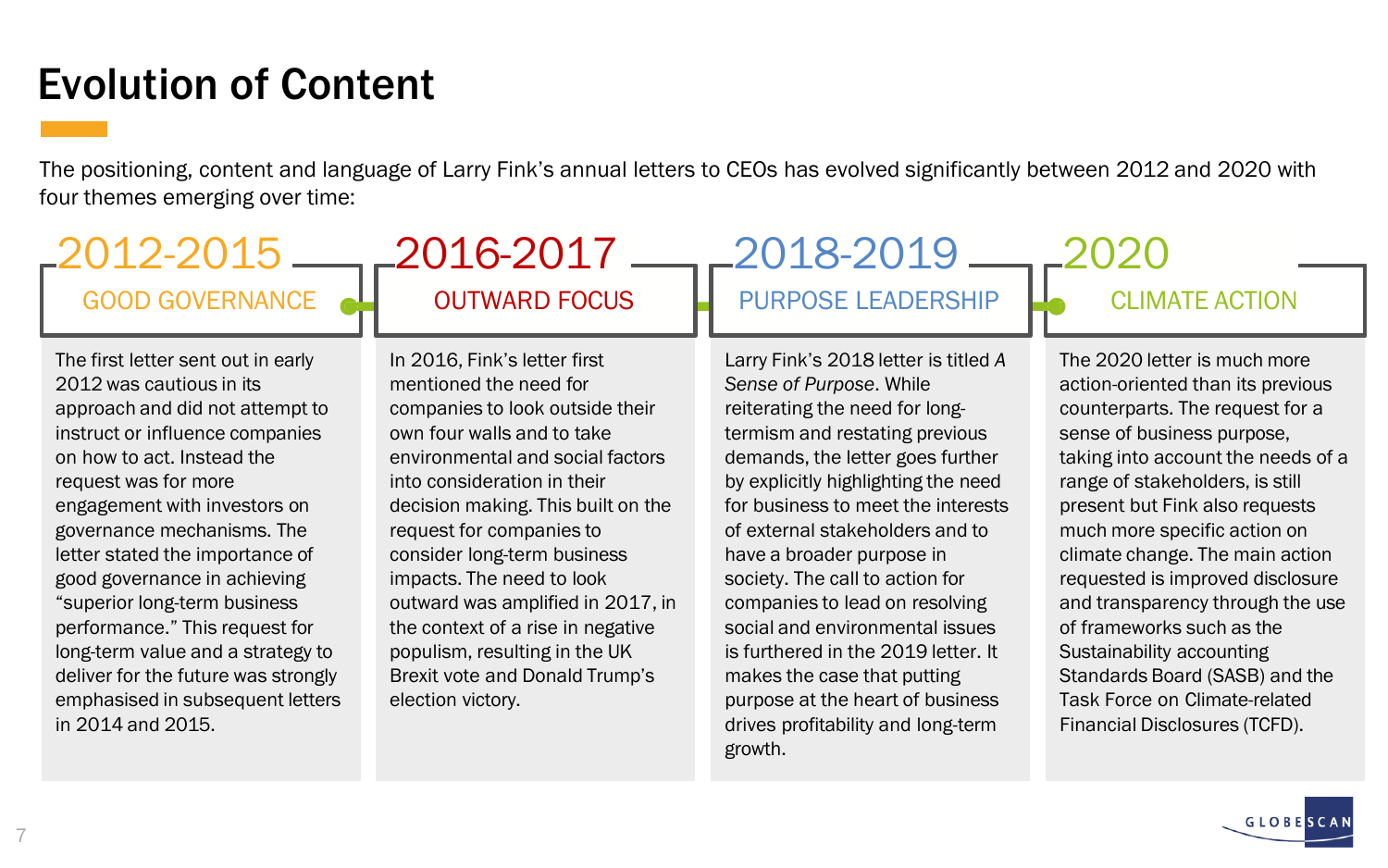## Evolution of Content

The positioning, content and language of Larry Fink's annual letters to CEOs has evolved significantly between 2012 and 2020 with four themes emerging over time:

#### GOOD GOVERNANCE ALL OUTWARD FOCUS LENDERS LEADERSHIP LO CLIMATE ACTION 2012-2015 2016-2017 2018-2019 2020

The first letter sent out in early 2012 was cautious in its approach and did not attempt to instruct or influence companies on how to act. Instead the request was for more engagement with investors on governance mechanisms. The letter stated the importance of good governance in achieving "superior long-term business performance." This request for long-term value and a strategy to deliver for the future was strongly emphasised in subsequent letters in 2014 and 2015.

In 2016, Fink's letter first mentioned the need for companies to look outside their own four walls and to take environmental and social factors into consideration in their decision making. This built on the request for companies to consider long-term business impacts. The need to look outward was amplified in 2017, in the context of a rise in negative populism, resulting in the UK Brexit vote and Donald Trump's election victory.

Larry Fink's 2018 letter is titled *A Sense of Purpose*. While reiterating the need for longtermism and restating previous demands, the letter goes further by explicitly highlighting the need for business to meet the interests of external stakeholders and to have a broader purpose in society. The call to action for companies to lead on resolving social and environmental issues is furthered in the 2019 letter. It makes the case that putting purpose at the heart of business drives profitability and long-term growth.

The 2020 letter is much more action-oriented than its previous counterparts. The request for a sense of business purpose, taking into account the needs of a range of stakeholders, is still present but Fink also requests much more specific action on climate change. The main action requested is improved disclosure and transparency through the use of frameworks such as the Sustainability accounting Standards Board (SASB) and the Task Force on Climate-related Financial Disclosures (TCFD).

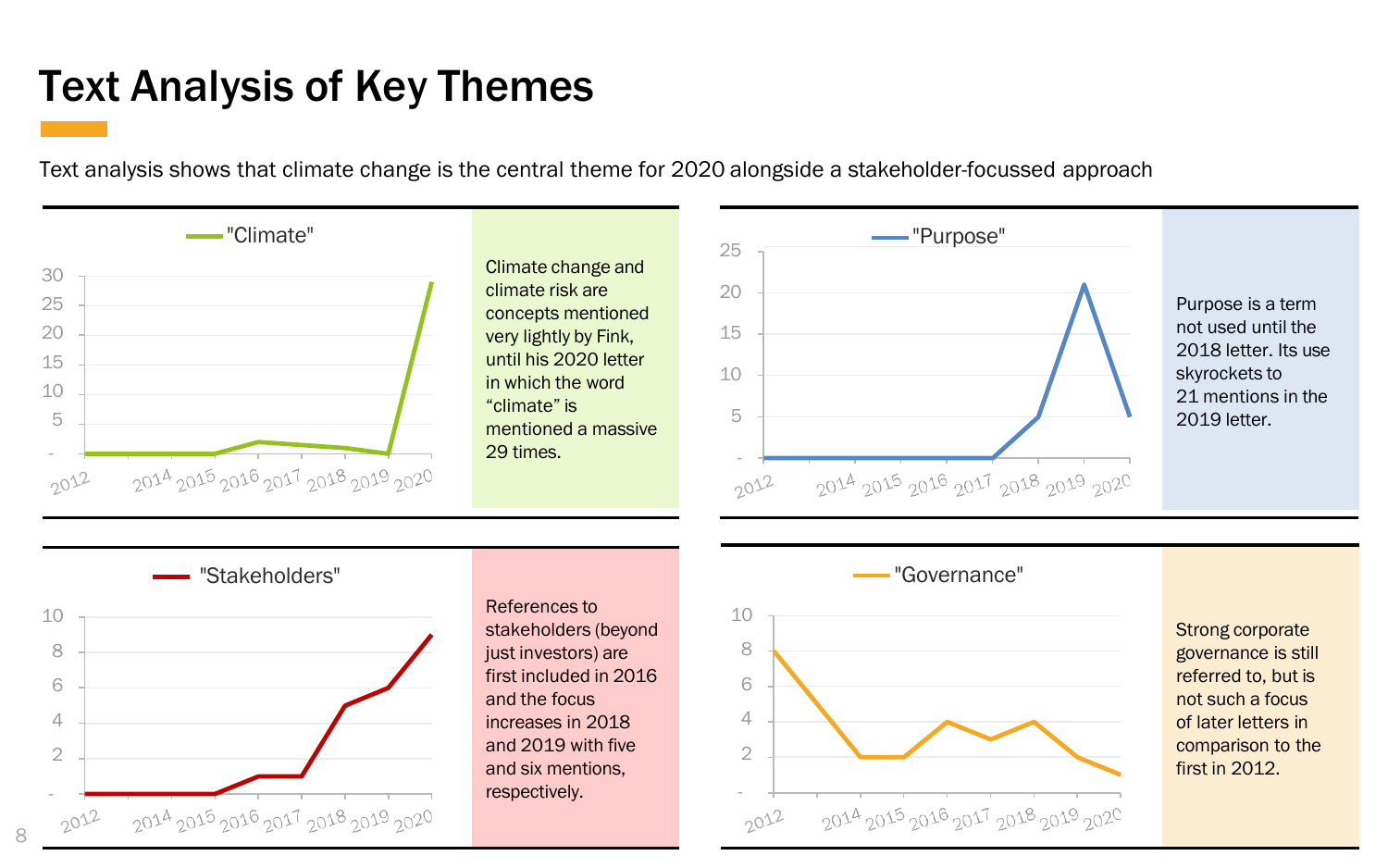## Text Analysis of Key Themes

Text analysis shows that climate change is the central theme for 2020 alongside a stakeholder-focussed approach





8

References to stakeholders (beyond just investors) are first included in 2016 and the focus increases in 2018 and 2019 with five and six mentions, respectively.



Strong corporate governance is still referred to, but is not such a focus of later letters in comparison to the first in 2012.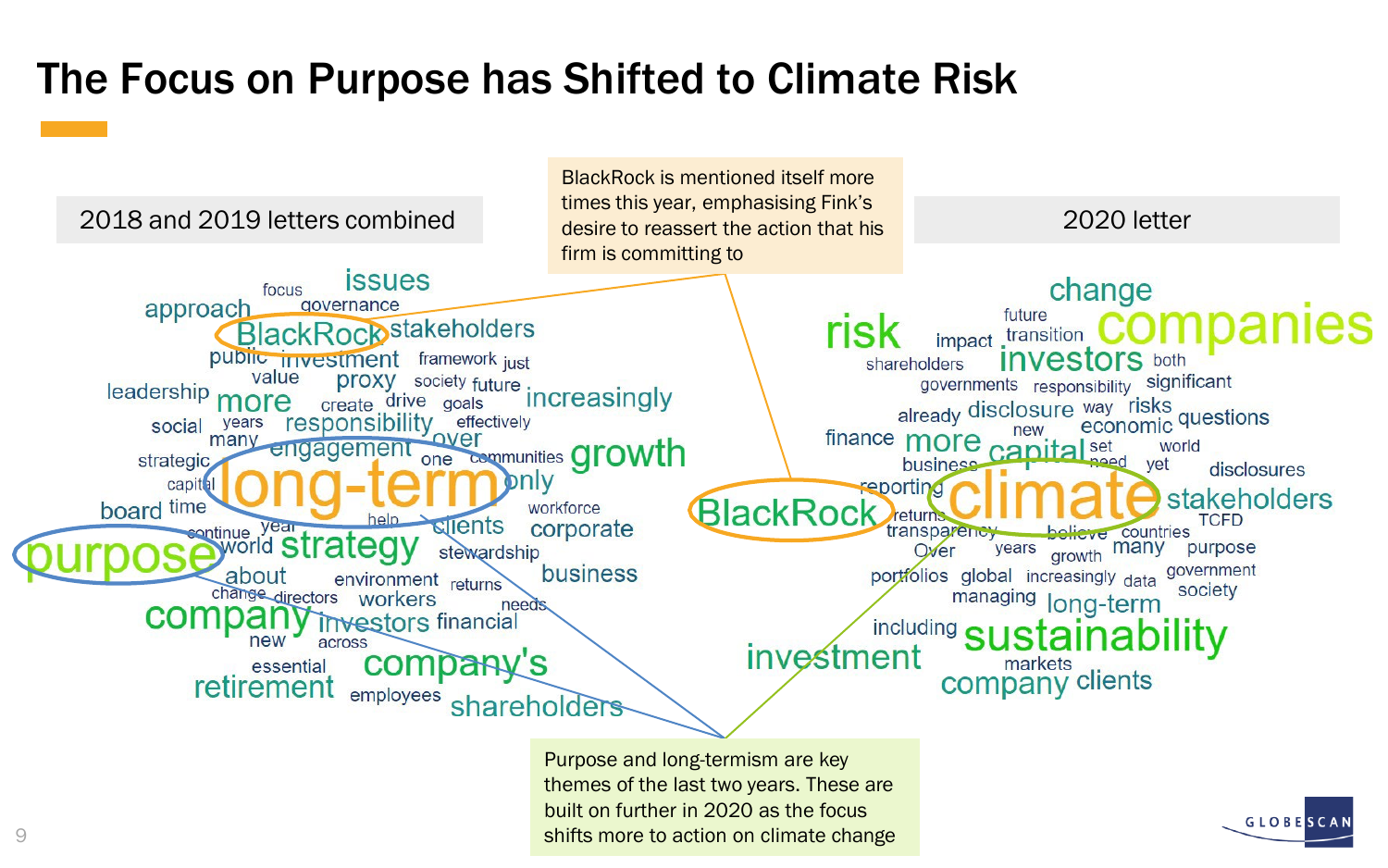## The Focus on Purpose has Shifted to Climate Risk



Purpose and long-termism are key themes of the last two years. These are built on further in 2020 as the focus shifts more to action on climate change

**GLOBESC**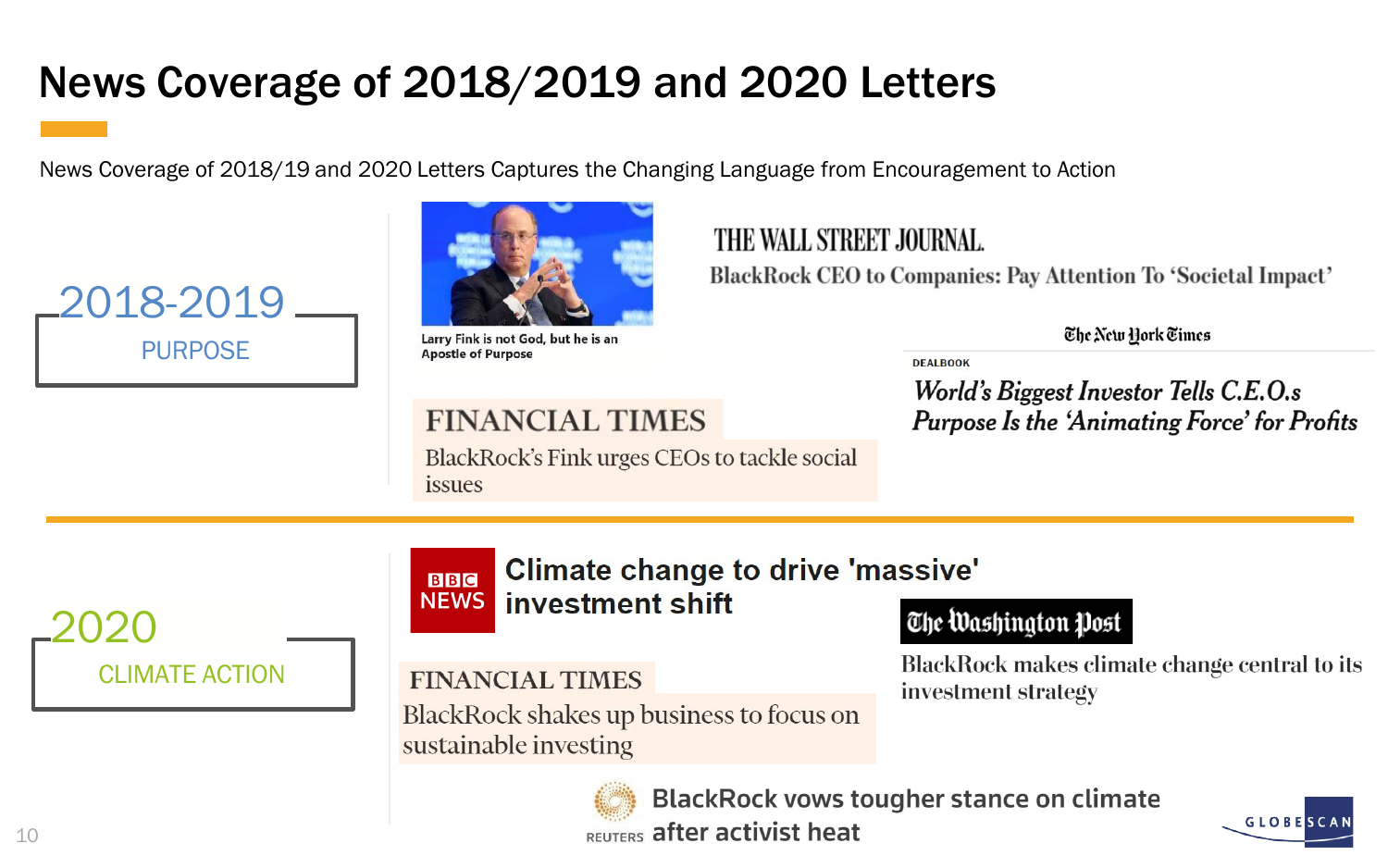# News Coverage of 2018/2019 and 2020 Letters

News Coverage of 2018/19 and 2020 Letters Captures the Changing Language from Encouragement to Action





Larry Fink is not God, but he is an **Apostle of Purpose** 

#### **FINANCIAL TIMES**

BlackRock's Fink urges CEOs to tackle social issues

#### THE WALL STREET JOURNAL.

BlackRock CEO to Companies: Pay Attention To 'Societal Impact'

The New York Times

**DEALBOOK** 

World's Biggest Investor Tells C.E.O.s **Purpose Is the 'Animating Force' for Profits** 



#### Climate change to drive 'massive' **BBC NEWS** investment shift

#### The Washington Post

BlackRock makes climate change central to its investment strategy

#### **FINANCIAL TIMES**

BlackRock shakes up business to focus on sustainable investing



**BlackRock vows tougher stance on climate REUTERS after activist heat** 

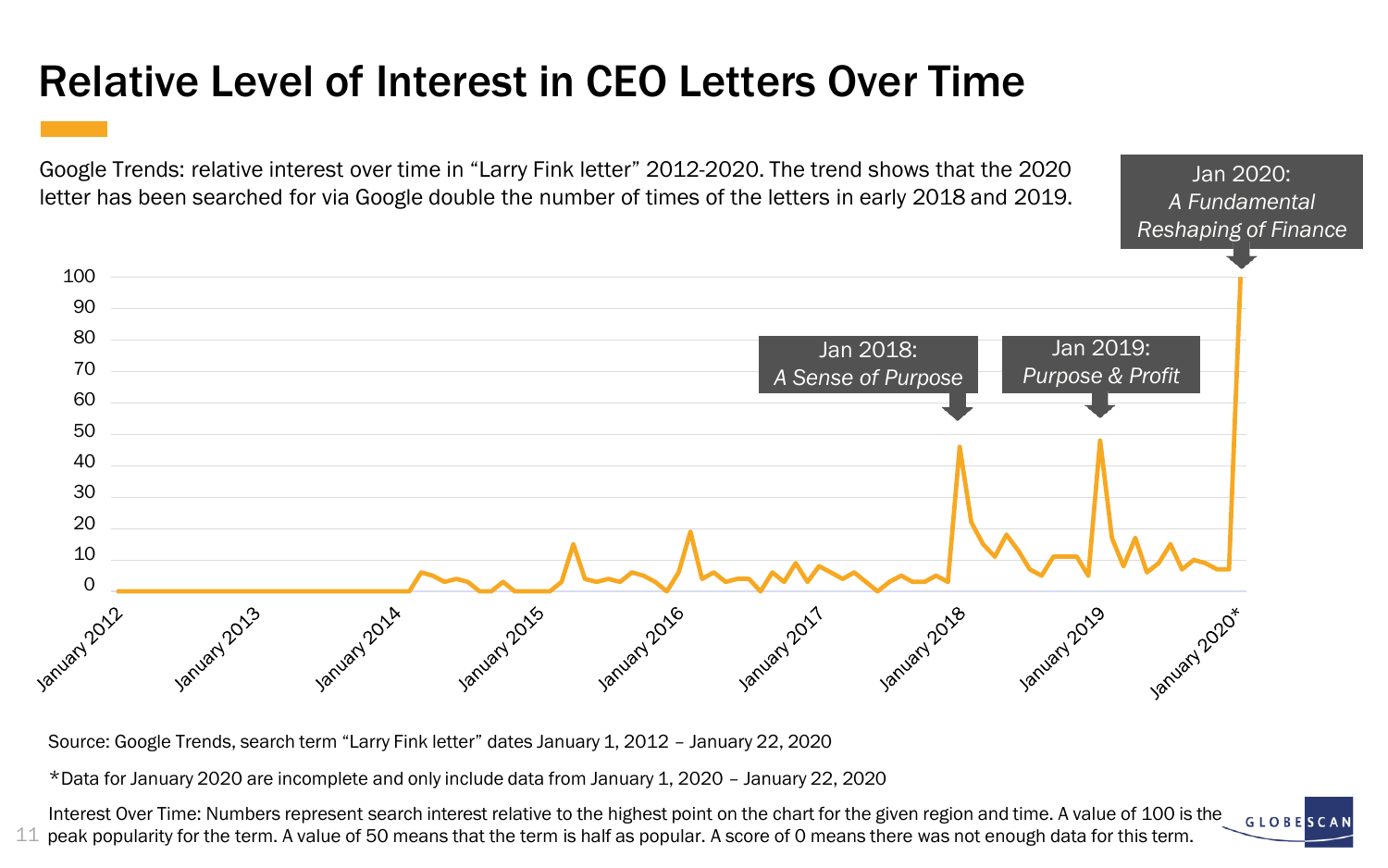# Relative Level of Interest in CEO Letters Over Time

Google Trends: relative interest over time in "Larry Fink letter" 2012-2020. The trend shows that the 2020 letter has been searched for via Google double the number of times of the letters in early 2018 and 2019.



Jan 2020: *A Fundamental* 

Source: Google Trends, search term "Larry Fink letter" dates January 1, 2012 – January 22, 2020

\*Data for January 2020 are incomplete and only include data from January 1, 2020 – January 22, 2020

Interest Over Time: Numbers represent search interest relative to the highest point on the chart for the given region and time. A value of 100 is the **GLOBESC** 11 peak popularity for the term. A value of 50 means that the term is half as popular. A score of 0 means there was not enough data for this term.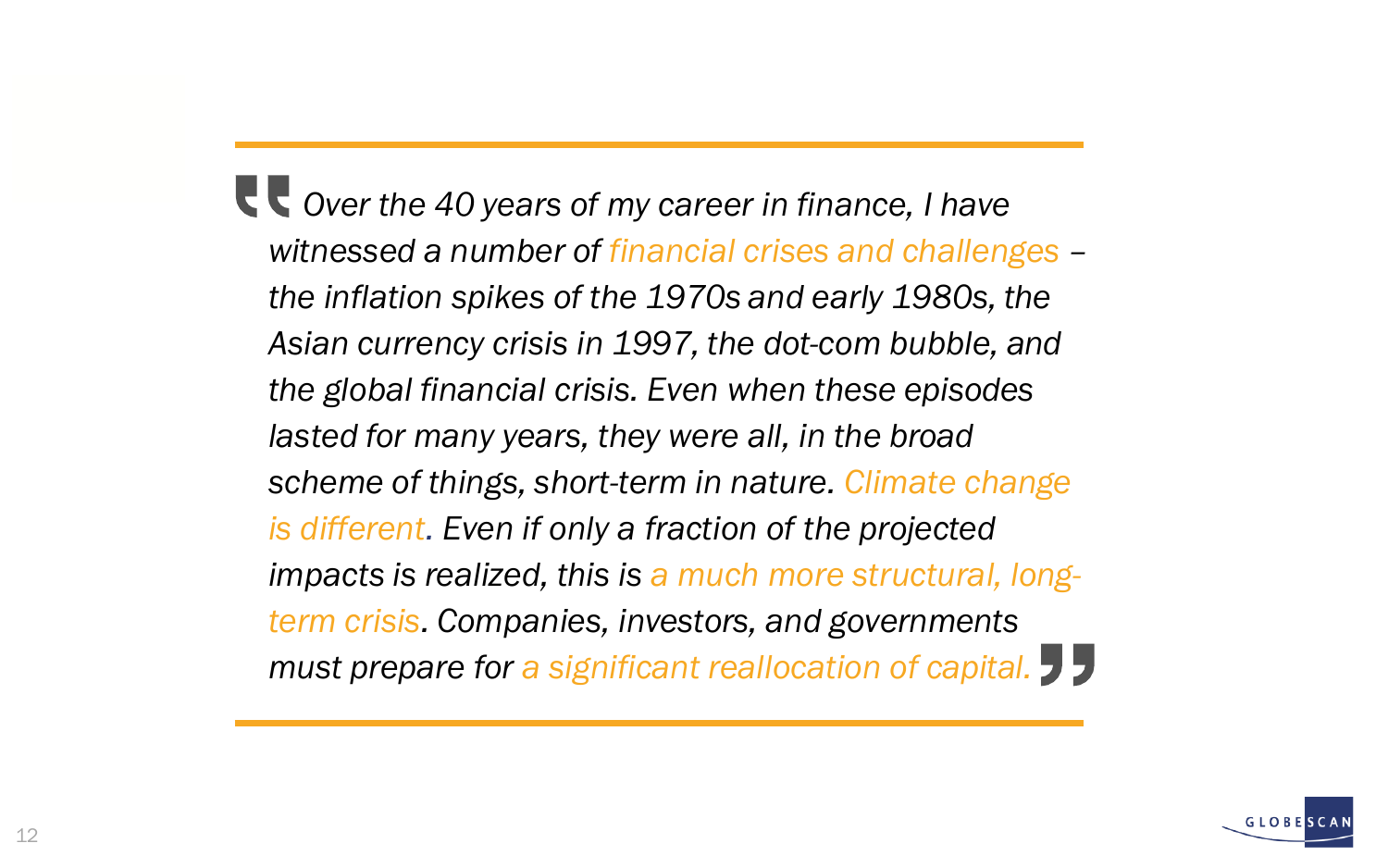*Over the 40 years of my career in finance, I have witnessed a number of financial crises and challenges – the inflation spikes of the 1970s and early 1980s, the Asian currency crisis in 1997, the dot-com bubble, and the global financial crisis. Even when these episodes lasted for many years, they were all, in the broad scheme of things, short-term in nature. Climate change is different. Even if only a fraction of the projected impacts is realized, this is a much more structural, longterm crisis. Companies, investors, and governments must prepare for a significant reallocation of capital.*

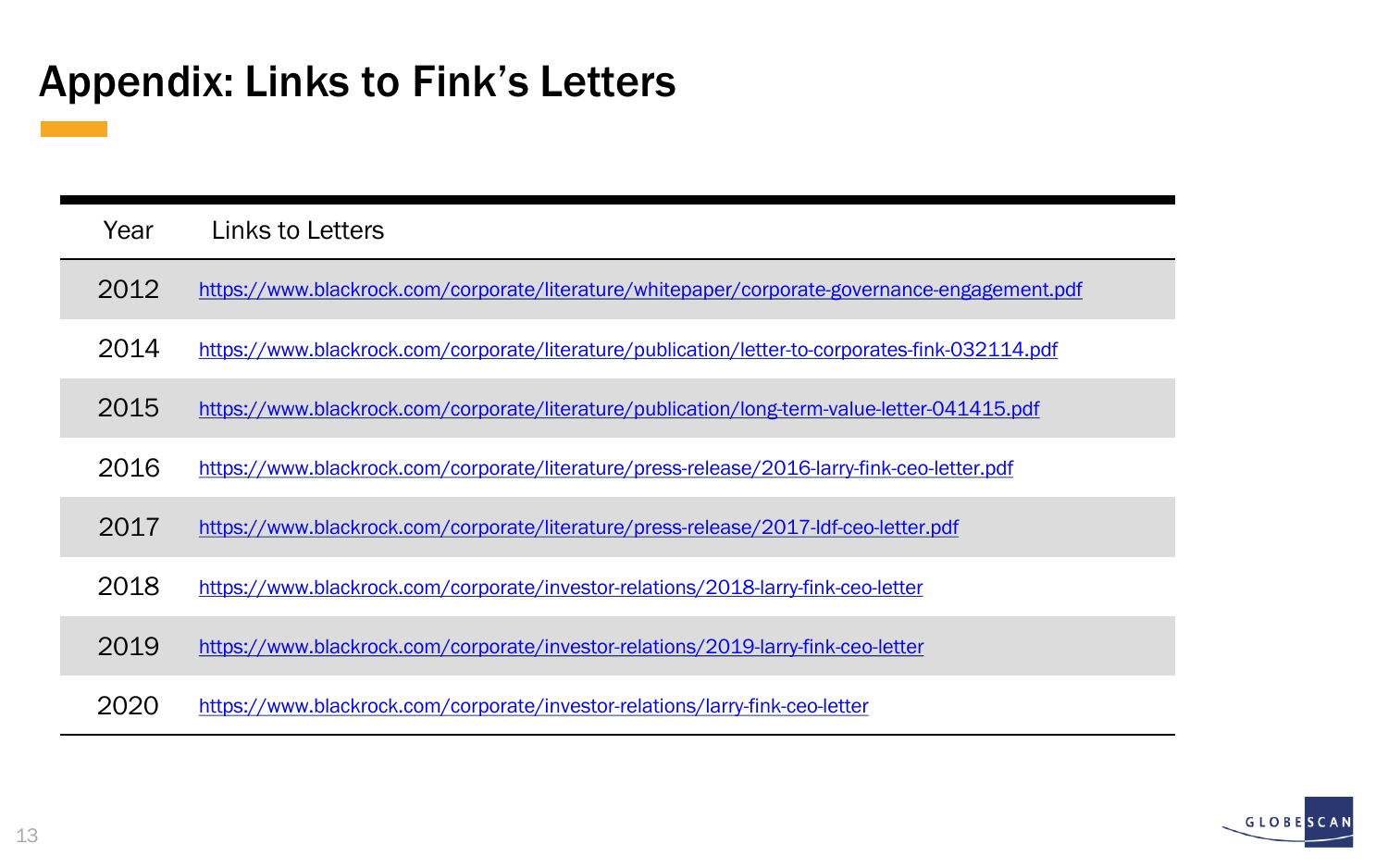## Appendix: Links to Fink's Letters

| Year | Links to Letters                                                                                |
|------|-------------------------------------------------------------------------------------------------|
| 2012 | https://www.blackrock.com/corporate/literature/whitepaper/corporate-governance-engagement.pdf   |
| 2014 | https://www.blackrock.com/corporate/literature/publication/letter-to-corporates-fink-032114.pdf |
| 2015 | https://www.blackrock.com/corporate/literature/publication/long-term-value-letter-041415.pdf    |
| 2016 | https://www.blackrock.com/corporate/literature/press-release/2016-larry-fink-ceo-letter.pdf     |
| 2017 | https://www.blackrock.com/corporate/literature/press-release/2017-ldf-ceo-letter.pdf            |
| 2018 | https://www.blackrock.com/corporate/investor-relations/2018-larry-fink-ceo-letter               |
| 2019 | https://www.blackrock.com/corporate/investor-relations/2019-larry-fink-ceo-letter               |
| 2020 | https://www.blackrock.com/corporate/investor-relations/larry-fink-ceo-letter                    |